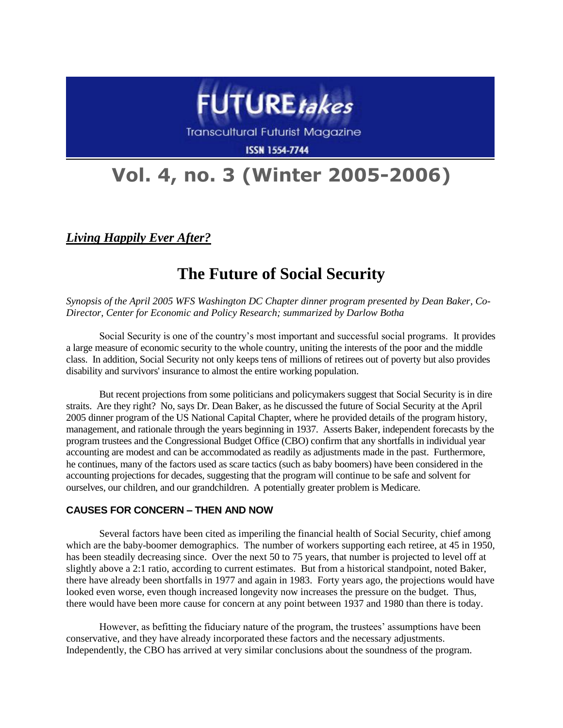

**Transcultural Futurist Magazine** 

**ISSN 1554-7744** 

# **Vol. 4, no. 3 (Winter 2005-2006)**

*Living Happily Ever After?*

# **The Future of Social Security**

*Synopsis of the April 2005 WFS Washington DC Chapter dinner program presented by Dean Baker, Co-Director, Center for Economic and Policy Research; summarized by Darlow Botha*

Social Security is one of the country's most important and successful social programs. It provides a large measure of economic security to the whole country, uniting the interests of the poor and the middle class. In addition, Social Security not only keeps tens of millions of retirees out of poverty but also provides disability and survivors' insurance to almost the entire working population.

But recent projections from some politicians and policymakers suggest that Social Security is in dire straits. Are they right? No, says Dr. Dean Baker, as he discussed the future of Social Security at the April 2005 dinner program of the US National Capital Chapter, where he provided details of the program history, management, and rationale through the years beginning in 1937. Asserts Baker, independent forecasts by the program trustees and the Congressional Budget Office (CBO) confirm that any shortfalls in individual year accounting are modest and can be accommodated as readily as adjustments made in the past. Furthermore, he continues, many of the factors used as scare tactics (such as baby boomers) have been considered in the accounting projections for decades, suggesting that the program will continue to be safe and solvent for ourselves, our children, and our grandchildren. A potentially greater problem is Medicare.

# **CAUSES FOR CONCERN – THEN AND NOW**

Several factors have been cited as imperiling the financial health of Social Security, chief among which are the baby-boomer demographics. The number of workers supporting each retiree, at 45 in 1950, has been steadily decreasing since. Over the next 50 to 75 years, that number is projected to level off at slightly above a 2:1 ratio, according to current estimates. But from a historical standpoint, noted Baker, there have already been shortfalls in 1977 and again in 1983. Forty years ago, the projections would have looked even worse, even though increased longevity now increases the pressure on the budget. Thus, there would have been more cause for concern at any point between 1937 and 1980 than there is today.

However, as befitting the fiduciary nature of the program, the trustees' assumptions have been conservative, and they have already incorporated these factors and the necessary adjustments. Independently, the CBO has arrived at very similar conclusions about the soundness of the program.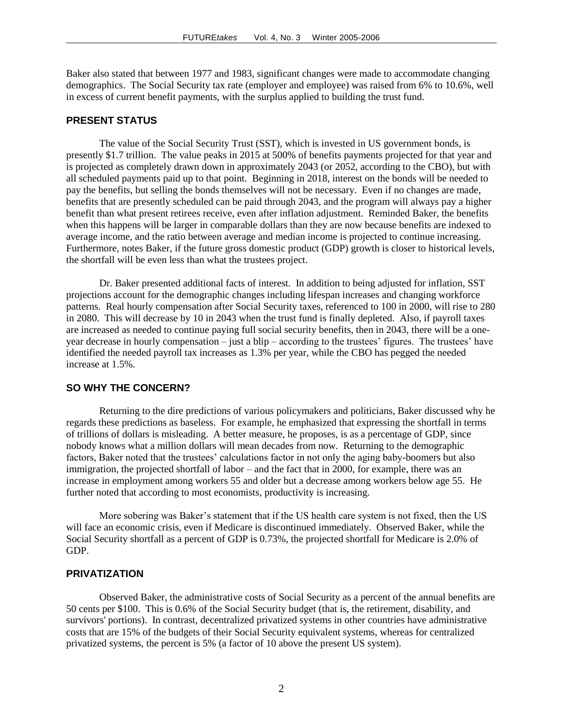Baker also stated that between 1977 and 1983, significant changes were made to accommodate changing demographics. The Social Security tax rate (employer and employee) was raised from 6% to 10.6%, well in excess of current benefit payments, with the surplus applied to building the trust fund.

#### **PRESENT STATUS**

The value of the Social Security Trust (SST), which is invested in US government bonds, is presently \$1.7 trillion. The value peaks in 2015 at 500% of benefits payments projected for that year and is projected as completely drawn down in approximately 2043 (or 2052, according to the CBO), but with all scheduled payments paid up to that point. Beginning in 2018, interest on the bonds will be needed to pay the benefits, but selling the bonds themselves will not be necessary. Even if no changes are made, benefits that are presently scheduled can be paid through 2043, and the program will always pay a higher benefit than what present retirees receive, even after inflation adjustment. Reminded Baker, the benefits when this happens will be larger in comparable dollars than they are now because benefits are indexed to average income, and the ratio between average and median income is projected to continue increasing. Furthermore, notes Baker, if the future gross domestic product (GDP) growth is closer to historical levels, the shortfall will be even less than what the trustees project.

Dr. Baker presented additional facts of interest. In addition to being adjusted for inflation, SST projections account for the demographic changes including lifespan increases and changing workforce patterns. Real hourly compensation after Social Security taxes, referenced to 100 in 2000, will rise to 280 in 2080. This will decrease by 10 in 2043 when the trust fund is finally depleted. Also, if payroll taxes are increased as needed to continue paying full social security benefits, then in 2043, there will be a oneyear decrease in hourly compensation – just a blip – according to the trustees' figures. The trustees' have identified the needed payroll tax increases as 1.3% per year, while the CBO has pegged the needed increase at 1.5%.

#### **SO WHY THE CONCERN?**

Returning to the dire predictions of various policymakers and politicians, Baker discussed why he regards these predictions as baseless. For example, he emphasized that expressing the shortfall in terms of trillions of dollars is misleading. A better measure, he proposes, is as a percentage of GDP, since nobody knows what a million dollars will mean decades from now. Returning to the demographic factors, Baker noted that the trustees' calculations factor in not only the aging baby-boomers but also immigration, the projected shortfall of labor – and the fact that in 2000, for example, there was an increase in employment among workers 55 and older but a decrease among workers below age 55. He further noted that according to most economists, productivity is increasing.

More sobering was Baker's statement that if the US health care system is not fixed, then the US will face an economic crisis, even if Medicare is discontinued immediately. Observed Baker, while the Social Security shortfall as a percent of GDP is 0.73%, the projected shortfall for Medicare is 2.0% of GDP.

#### **PRIVATIZATION**

Observed Baker, the administrative costs of Social Security as a percent of the annual benefits are 50 cents per \$100. This is 0.6% of the Social Security budget (that is, the retirement, disability, and survivors' portions). In contrast, decentralized privatized systems in other countries have administrative costs that are 15% of the budgets of their Social Security equivalent systems, whereas for centralized privatized systems, the percent is 5% (a factor of 10 above the present US system).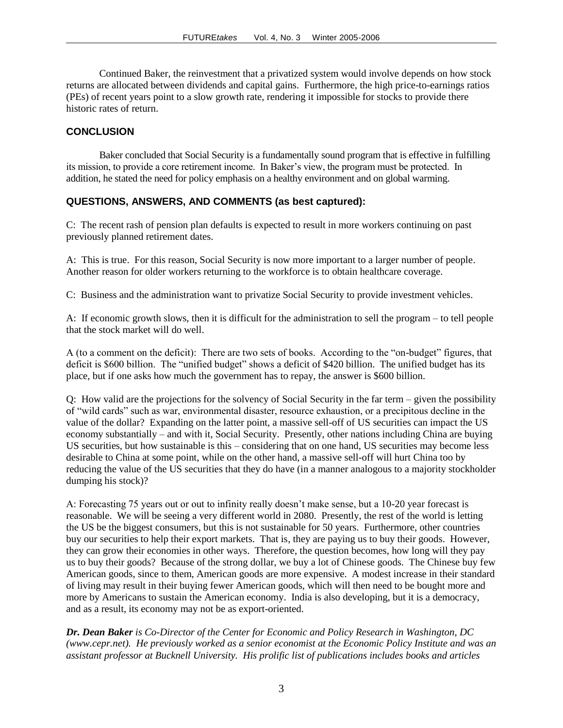Continued Baker, the reinvestment that a privatized system would involve depends on how stock returns are allocated between dividends and capital gains. Furthermore, the high price-to-earnings ratios (PEs) of recent years point to a slow growth rate, rendering it impossible for stocks to provide there historic rates of return.

## **CONCLUSION**

Baker concluded that Social Security is a fundamentally sound program that is effective in fulfilling its mission, to provide a core retirement income. In Baker's view, the program must be protected. In addition, he stated the need for policy emphasis on a healthy environment and on global warming.

# **QUESTIONS, ANSWERS, AND COMMENTS (as best captured):**

C: The recent rash of pension plan defaults is expected to result in more workers continuing on past previously planned retirement dates.

A: This is true. For this reason, Social Security is now more important to a larger number of people. Another reason for older workers returning to the workforce is to obtain healthcare coverage.

C: Business and the administration want to privatize Social Security to provide investment vehicles.

A: If economic growth slows, then it is difficult for the administration to sell the program – to tell people that the stock market will do well.

A (to a comment on the deficit): There are two sets of books. According to the "on-budget" figures, that deficit is \$600 billion. The "unified budget" shows a deficit of \$420 billion. The unified budget has its place, but if one asks how much the government has to repay, the answer is \$600 billion.

Q: How valid are the projections for the solvency of Social Security in the far term – given the possibility of "wild cards" such as war, environmental disaster, resource exhaustion, or a precipitous decline in the value of the dollar? Expanding on the latter point, a massive sell-off of US securities can impact the US economy substantially – and with it, Social Security. Presently, other nations including China are buying US securities, but how sustainable is this – considering that on one hand, US securities may become less desirable to China at some point, while on the other hand, a massive sell-off will hurt China too by reducing the value of the US securities that they do have (in a manner analogous to a majority stockholder dumping his stock)?

A: Forecasting 75 years out or out to infinity really doesn't make sense, but a 10-20 year forecast is reasonable. We will be seeing a very different world in 2080. Presently, the rest of the world is letting the US be the biggest consumers, but this is not sustainable for 50 years. Furthermore, other countries buy our securities to help their export markets. That is, they are paying us to buy their goods. However, they can grow their economies in other ways. Therefore, the question becomes, how long will they pay us to buy their goods? Because of the strong dollar, we buy a lot of Chinese goods. The Chinese buy few American goods, since to them, American goods are more expensive. A modest increase in their standard of living may result in their buying fewer American goods, which will then need to be bought more and more by Americans to sustain the American economy. India is also developing, but it is a democracy, and as a result, its economy may not be as export-oriented.

*Dr. Dean Baker is Co-Director of the Center for Economic and Policy Research in Washington, DC (www.cepr.net). He previously worked as a senior economist at the Economic Policy Institute and was an assistant professor at Bucknell University. His prolific list of publications includes books and articles*